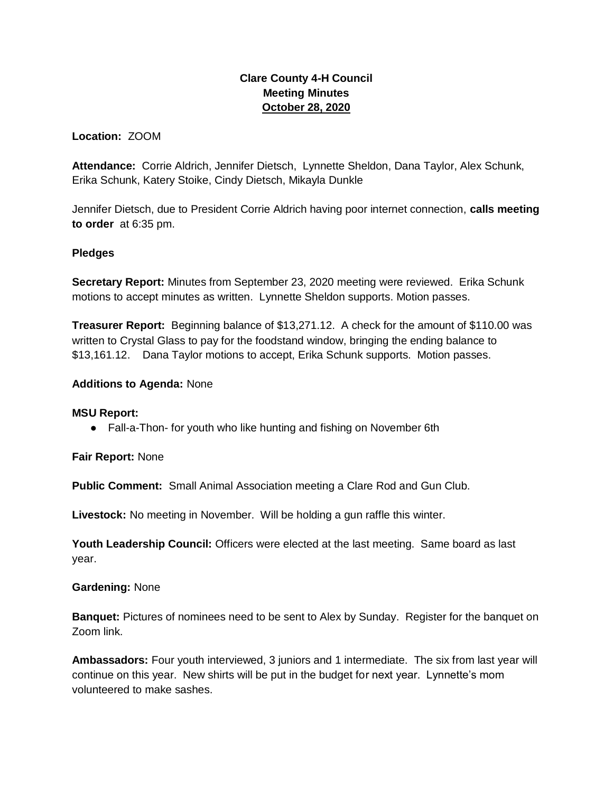# **Clare County 4-H Council Meeting Minutes October 28, 2020**

# **Location:** ZOOM

**Attendance:** Corrie Aldrich, Jennifer Dietsch, Lynnette Sheldon, Dana Taylor, Alex Schunk, Erika Schunk, Katery Stoike, Cindy Dietsch, Mikayla Dunkle

Jennifer Dietsch, due to President Corrie Aldrich having poor internet connection, **calls meeting to order** at 6:35 pm.

# **Pledges**

**Secretary Report:** Minutes from September 23, 2020 meeting were reviewed. Erika Schunk motions to accept minutes as written. Lynnette Sheldon supports. Motion passes.

**Treasurer Report:** Beginning balance of \$13,271.12. A check for the amount of \$110.00 was written to Crystal Glass to pay for the foodstand window, bringing the ending balance to \$13,161.12. Dana Taylor motions to accept, Erika Schunk supports. Motion passes.

# **Additions to Agenda:** None

#### **MSU Report:**

● Fall-a-Thon- for youth who like hunting and fishing on November 6th

**Fair Report:** None

**Public Comment:** Small Animal Association meeting a Clare Rod and Gun Club.

**Livestock:** No meeting in November. Will be holding a gun raffle this winter.

**Youth Leadership Council:** Officers were elected at the last meeting. Same board as last year.

#### **Gardening:** None

**Banquet:** Pictures of nominees need to be sent to Alex by Sunday. Register for the banquet on Zoom link.

**Ambassadors:** Four youth interviewed, 3 juniors and 1 intermediate. The six from last year will continue on this year. New shirts will be put in the budget for next year. Lynnette's mom volunteered to make sashes.